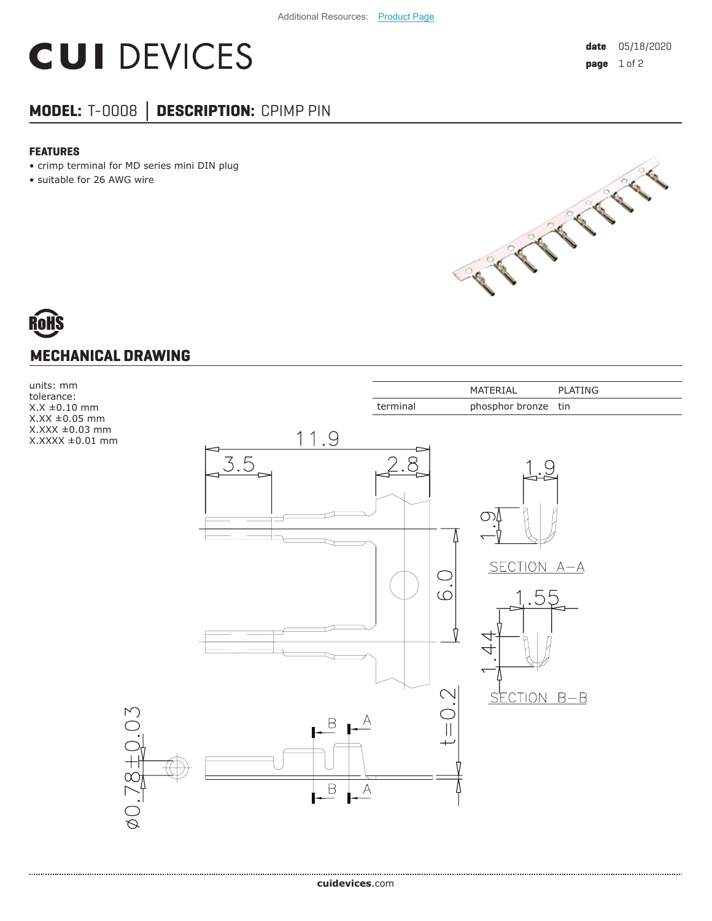## **CUI DEVICES**

### **MODEL:** T-0008 **│ DESCRIPTION:** CPIMP PIN

#### **FEATURES**

- crimp terminal for MD series mini DIN plug
- suitable for 26 AWG wire



# **MECHANICAL DRAWING**